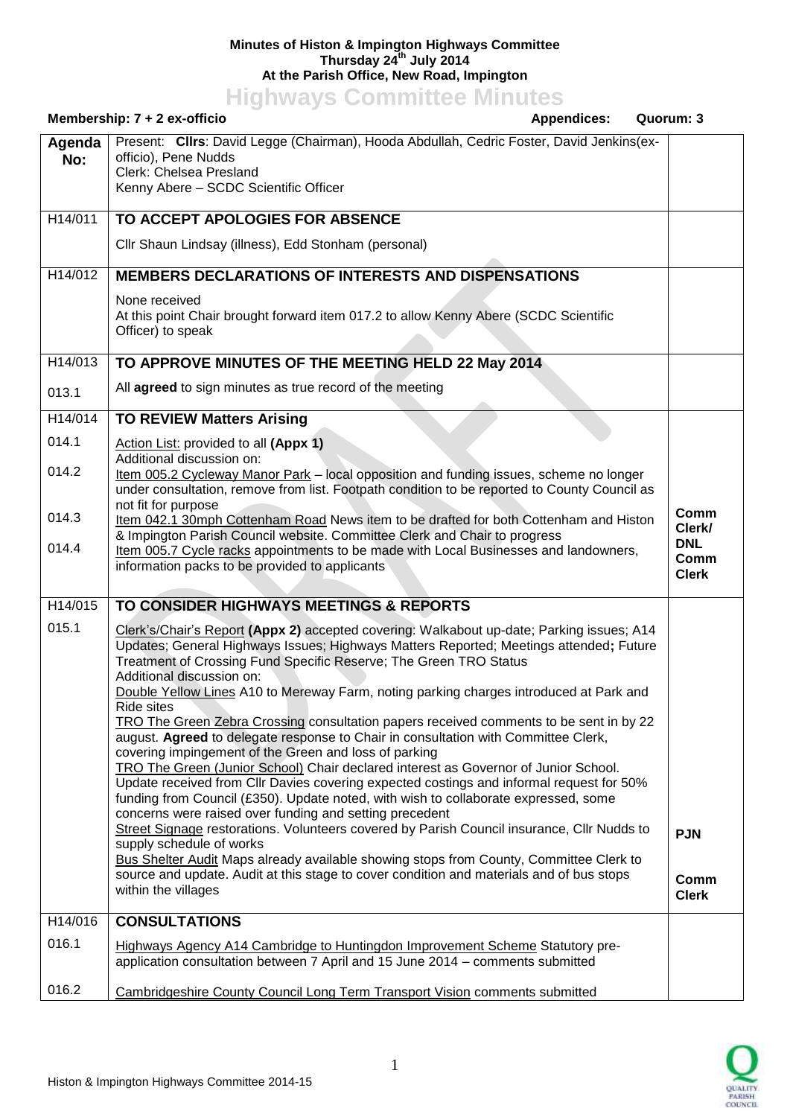## **Minutes of Histon & Impington Highways Committee Thursday 24th July 2014 At the Parish Office, New Road, Impington**

**Highways Committee Minutes**

| Membership: 7 + 2 ex-officio<br><b>Appendices:</b><br>Quorum: 3 |                                                                                                                                                                                                                                                                                                                                                                                                                                                                                                                                                                                                                                                                                                                                                                                                                                                                                                                                                                                                                                                                                                                                                                                                                                                                                                                    |                                    |
|-----------------------------------------------------------------|--------------------------------------------------------------------------------------------------------------------------------------------------------------------------------------------------------------------------------------------------------------------------------------------------------------------------------------------------------------------------------------------------------------------------------------------------------------------------------------------------------------------------------------------------------------------------------------------------------------------------------------------------------------------------------------------------------------------------------------------------------------------------------------------------------------------------------------------------------------------------------------------------------------------------------------------------------------------------------------------------------------------------------------------------------------------------------------------------------------------------------------------------------------------------------------------------------------------------------------------------------------------------------------------------------------------|------------------------------------|
| Agenda<br>No:                                                   | Present: Clirs: David Legge (Chairman), Hooda Abdullah, Cedric Foster, David Jenkins(ex-<br>officio), Pene Nudds<br>Clerk: Chelsea Presland<br>Kenny Abere - SCDC Scientific Officer                                                                                                                                                                                                                                                                                                                                                                                                                                                                                                                                                                                                                                                                                                                                                                                                                                                                                                                                                                                                                                                                                                                               |                                    |
| H14/011                                                         | TO ACCEPT APOLOGIES FOR ABSENCE                                                                                                                                                                                                                                                                                                                                                                                                                                                                                                                                                                                                                                                                                                                                                                                                                                                                                                                                                                                                                                                                                                                                                                                                                                                                                    |                                    |
|                                                                 | Cllr Shaun Lindsay (illness), Edd Stonham (personal)                                                                                                                                                                                                                                                                                                                                                                                                                                                                                                                                                                                                                                                                                                                                                                                                                                                                                                                                                                                                                                                                                                                                                                                                                                                               |                                    |
| H14/012                                                         | <b>MEMBERS DECLARATIONS OF INTERESTS AND DISPENSATIONS</b>                                                                                                                                                                                                                                                                                                                                                                                                                                                                                                                                                                                                                                                                                                                                                                                                                                                                                                                                                                                                                                                                                                                                                                                                                                                         |                                    |
|                                                                 | None received<br>At this point Chair brought forward item 017.2 to allow Kenny Abere (SCDC Scientific<br>Officer) to speak                                                                                                                                                                                                                                                                                                                                                                                                                                                                                                                                                                                                                                                                                                                                                                                                                                                                                                                                                                                                                                                                                                                                                                                         |                                    |
| H14/013                                                         | TO APPROVE MINUTES OF THE MEETING HELD 22 May 2014                                                                                                                                                                                                                                                                                                                                                                                                                                                                                                                                                                                                                                                                                                                                                                                                                                                                                                                                                                                                                                                                                                                                                                                                                                                                 |                                    |
| 013.1                                                           | All agreed to sign minutes as true record of the meeting                                                                                                                                                                                                                                                                                                                                                                                                                                                                                                                                                                                                                                                                                                                                                                                                                                                                                                                                                                                                                                                                                                                                                                                                                                                           |                                    |
| H14/014                                                         | <b>TO REVIEW Matters Arising</b>                                                                                                                                                                                                                                                                                                                                                                                                                                                                                                                                                                                                                                                                                                                                                                                                                                                                                                                                                                                                                                                                                                                                                                                                                                                                                   |                                    |
| 014.1                                                           | Action List: provided to all (Appx 1)                                                                                                                                                                                                                                                                                                                                                                                                                                                                                                                                                                                                                                                                                                                                                                                                                                                                                                                                                                                                                                                                                                                                                                                                                                                                              |                                    |
| 014.2                                                           | Additional discussion on:<br>Item 005.2 Cycleway Manor Park – local opposition and funding issues, scheme no longer<br>under consultation, remove from list. Footpath condition to be reported to County Council as<br>not fit for purpose                                                                                                                                                                                                                                                                                                                                                                                                                                                                                                                                                                                                                                                                                                                                                                                                                                                                                                                                                                                                                                                                         |                                    |
| 014.3                                                           | Item 042.1 30mph Cottenham Road News item to be drafted for both Cottenham and Histon                                                                                                                                                                                                                                                                                                                                                                                                                                                                                                                                                                                                                                                                                                                                                                                                                                                                                                                                                                                                                                                                                                                                                                                                                              | Comm<br>Clerk/                     |
| 014.4                                                           | & Impington Parish Council website. Committee Clerk and Chair to progress<br>Item 005.7 Cycle racks appointments to be made with Local Businesses and landowners,<br>information packs to be provided to applicants                                                                                                                                                                                                                                                                                                                                                                                                                                                                                                                                                                                                                                                                                                                                                                                                                                                                                                                                                                                                                                                                                                | <b>DNL</b><br>Comm<br><b>Clerk</b> |
| H14/015                                                         | TO CONSIDER HIGHWAYS MEETINGS & REPORTS                                                                                                                                                                                                                                                                                                                                                                                                                                                                                                                                                                                                                                                                                                                                                                                                                                                                                                                                                                                                                                                                                                                                                                                                                                                                            |                                    |
| 015.1                                                           | Clerk's/Chair's Report (Appx 2) accepted covering: Walkabout up-date; Parking issues; A14<br>Updates; General Highways Issues; Highways Matters Reported; Meetings attended; Future<br>Treatment of Crossing Fund Specific Reserve; The Green TRO Status<br>Additional discussion on:<br>Double Yellow Lines A10 to Mereway Farm, noting parking charges introduced at Park and<br>Ride sites<br>TRO The Green Zebra Crossing consultation papers received comments to be sent in by 22<br>august. Agreed to delegate response to Chair in consultation with Committee Clerk,<br>covering impingement of the Green and loss of parking<br>TRO The Green (Junior School) Chair declared interest as Governor of Junior School.<br>Update received from Cllr Davies covering expected costings and informal request for 50%<br>funding from Council (£350). Update noted, with wish to collaborate expressed, some<br>concerns were raised over funding and setting precedent<br>Street Signage restorations. Volunteers covered by Parish Council insurance, Cllr Nudds to<br>supply schedule of works<br>Bus Shelter Audit Maps already available showing stops from County, Committee Clerk to<br>source and update. Audit at this stage to cover condition and materials and of bus stops<br>within the villages | <b>PJN</b><br>Comm<br><b>Clerk</b> |
| H14/016                                                         | <b>CONSULTATIONS</b>                                                                                                                                                                                                                                                                                                                                                                                                                                                                                                                                                                                                                                                                                                                                                                                                                                                                                                                                                                                                                                                                                                                                                                                                                                                                                               |                                    |
| 016.1                                                           | <b>Highways Agency A14 Cambridge to Huntingdon Improvement Scheme Statutory pre-</b><br>application consultation between 7 April and 15 June 2014 - comments submitted                                                                                                                                                                                                                                                                                                                                                                                                                                                                                                                                                                                                                                                                                                                                                                                                                                                                                                                                                                                                                                                                                                                                             |                                    |
| 016.2                                                           | Cambridgeshire County Council Long Term Transport Vision comments submitted                                                                                                                                                                                                                                                                                                                                                                                                                                                                                                                                                                                                                                                                                                                                                                                                                                                                                                                                                                                                                                                                                                                                                                                                                                        |                                    |

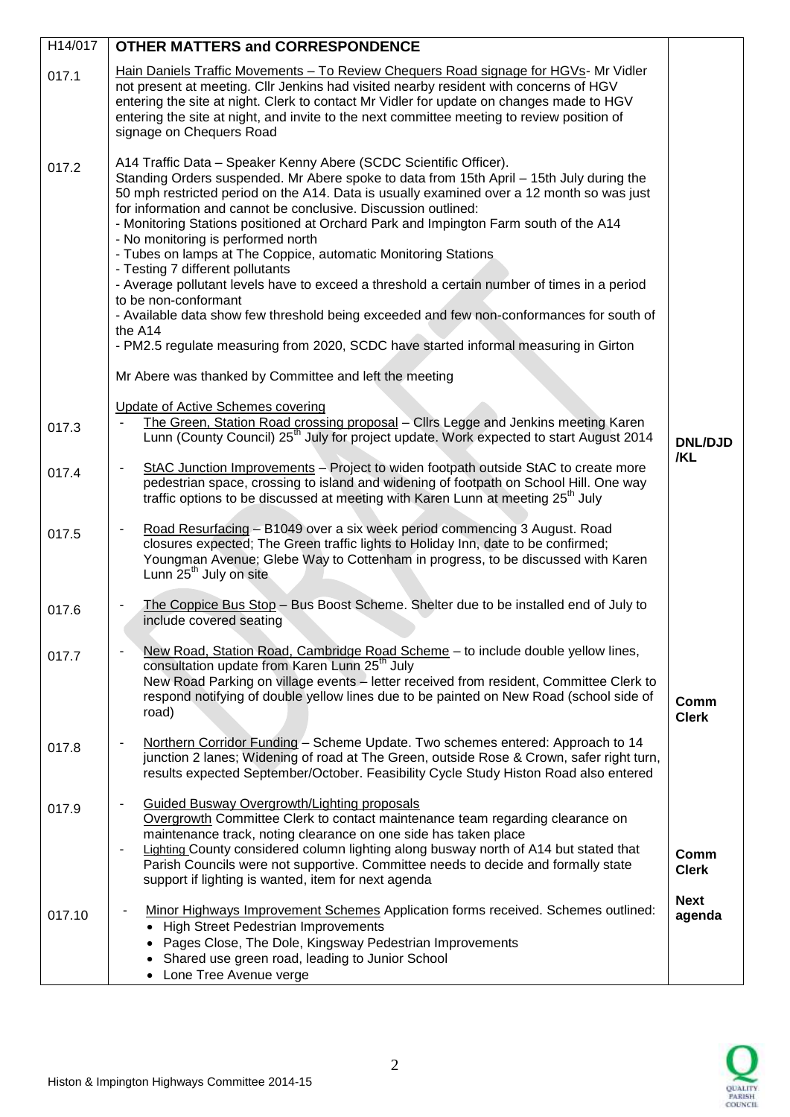| H14/017 | <b>OTHER MATTERS and CORRESPONDENCE</b>                                                                                                                                                                                                                                                                                                                                                                                                                                                                                                                                                                                                                                                 |                       |
|---------|-----------------------------------------------------------------------------------------------------------------------------------------------------------------------------------------------------------------------------------------------------------------------------------------------------------------------------------------------------------------------------------------------------------------------------------------------------------------------------------------------------------------------------------------------------------------------------------------------------------------------------------------------------------------------------------------|-----------------------|
| 017.1   | Hain Daniels Traffic Movements - To Review Chequers Road signage for HGVs- Mr Vidler<br>not present at meeting. Cllr Jenkins had visited nearby resident with concerns of HGV<br>entering the site at night. Clerk to contact Mr Vidler for update on changes made to HGV<br>entering the site at night, and invite to the next committee meeting to review position of<br>signage on Chequers Road                                                                                                                                                                                                                                                                                     |                       |
| 017.2   | A14 Traffic Data - Speaker Kenny Abere (SCDC Scientific Officer).<br>Standing Orders suspended. Mr Abere spoke to data from 15th April - 15th July during the<br>50 mph restricted period on the A14. Data is usually examined over a 12 month so was just<br>for information and cannot be conclusive. Discussion outlined:<br>- Monitoring Stations positioned at Orchard Park and Impington Farm south of the A14<br>- No monitoring is performed north<br>- Tubes on lamps at The Coppice, automatic Monitoring Stations<br>- Testing 7 different pollutants<br>- Average pollutant levels have to exceed a threshold a certain number of times in a period<br>to be non-conformant |                       |
|         | - Available data show few threshold being exceeded and few non-conformances for south of                                                                                                                                                                                                                                                                                                                                                                                                                                                                                                                                                                                                |                       |
|         | the A14<br>- PM2.5 regulate measuring from 2020, SCDC have started informal measuring in Girton                                                                                                                                                                                                                                                                                                                                                                                                                                                                                                                                                                                         |                       |
|         | Mr Abere was thanked by Committee and left the meeting                                                                                                                                                                                                                                                                                                                                                                                                                                                                                                                                                                                                                                  |                       |
| 017.3   | <b>Update of Active Schemes covering</b><br>The Green, Station Road crossing proposal - Cllrs Legge and Jenkins meeting Karen<br>Lunn (County Council) 25 <sup>th</sup> July for project update. Work expected to start August 2014                                                                                                                                                                                                                                                                                                                                                                                                                                                     | <b>DNL/DJD</b>        |
| 017.4   | StAC Junction Improvements - Project to widen footpath outside StAC to create more<br>pedestrian space, crossing to island and widening of footpath on School Hill. One way<br>traffic options to be discussed at meeting with Karen Lunn at meeting 25 <sup>th</sup> July                                                                                                                                                                                                                                                                                                                                                                                                              | /KL                   |
| 017.5   | Road Resurfacing - B1049 over a six week period commencing 3 August. Road<br>closures expected; The Green traffic lights to Holiday Inn, date to be confirmed;<br>Youngman Avenue; Glebe Way to Cottenham in progress, to be discussed with Karen<br>Lunn 25 <sup>th</sup> July on site                                                                                                                                                                                                                                                                                                                                                                                                 |                       |
| 017.6   | The Coppice Bus Stop - Bus Boost Scheme. Shelter due to be installed end of July to<br>include covered seating                                                                                                                                                                                                                                                                                                                                                                                                                                                                                                                                                                          |                       |
| 017.7   | New Road, Station Road, Cambridge Road Scheme - to include double yellow lines,<br>consultation update from Karen Lunn 25 <sup>th</sup> July<br>New Road Parking on village events - letter received from resident, Committee Clerk to<br>respond notifying of double yellow lines due to be painted on New Road (school side of<br>road)                                                                                                                                                                                                                                                                                                                                               | Comm<br><b>Clerk</b>  |
| 017.8   | Northern Corridor Funding - Scheme Update. Two schemes entered: Approach to 14<br>junction 2 lanes; Widening of road at The Green, outside Rose & Crown, safer right turn,<br>results expected September/October. Feasibility Cycle Study Histon Road also entered                                                                                                                                                                                                                                                                                                                                                                                                                      |                       |
| 017.9   | Guided Busway Overgrowth/Lighting proposals<br>Overgrowth Committee Clerk to contact maintenance team regarding clearance on<br>maintenance track, noting clearance on one side has taken place<br>Lighting County considered column lighting along busway north of A14 but stated that<br>Parish Councils were not supportive. Committee needs to decide and formally state<br>support if lighting is wanted, item for next agenda                                                                                                                                                                                                                                                     | Comm<br><b>Clerk</b>  |
| 017.10  | Minor Highways Improvement Schemes Application forms received. Schemes outlined:<br>• High Street Pedestrian Improvements<br>• Pages Close, The Dole, Kingsway Pedestrian Improvements<br>Shared use green road, leading to Junior School<br>• Lone Tree Avenue verge                                                                                                                                                                                                                                                                                                                                                                                                                   | <b>Next</b><br>agenda |